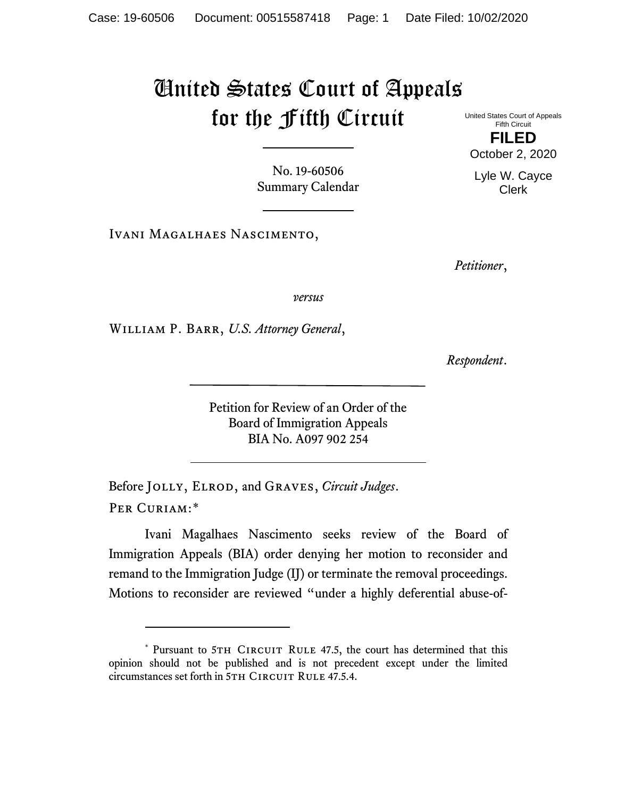## United States Court of Appeals for the Fifth Circuit

No. 19-60506 Summary Calendar

Ivani Magalhaes Nascimento,

*Petitioner*,

*versus*

William P. Barr, *U.S. Attorney General*,

*Respondent*.

Petition for Review of an Order of the Board of Immigration Appeals BIA No. A097 902 254

Before Jolly, Elrod, and Graves, *Circuit Judges*. Per Curiam:[\\*](#page-0-0)

Ivani Magalhaes Nascimento seeks review of the Board of Immigration Appeals (BIA) order denying her motion to reconsider and remand to the Immigration Judge (IJ) or terminate the removal proceedings. Motions to reconsider are reviewed "under a highly deferential abuse-of-

United States Court of Appeals Fifth Circuit **FILED** October 2, 2020

Lyle W. Cayce Clerk

<span id="page-0-0"></span><sup>\*</sup> Pursuant to 5TH CIRCUIT RULE 47.5, the court has determined that this opinion should not be published and is not precedent except under the limited circumstances set forth in 5TH CIRCUIT RULE 47.5.4.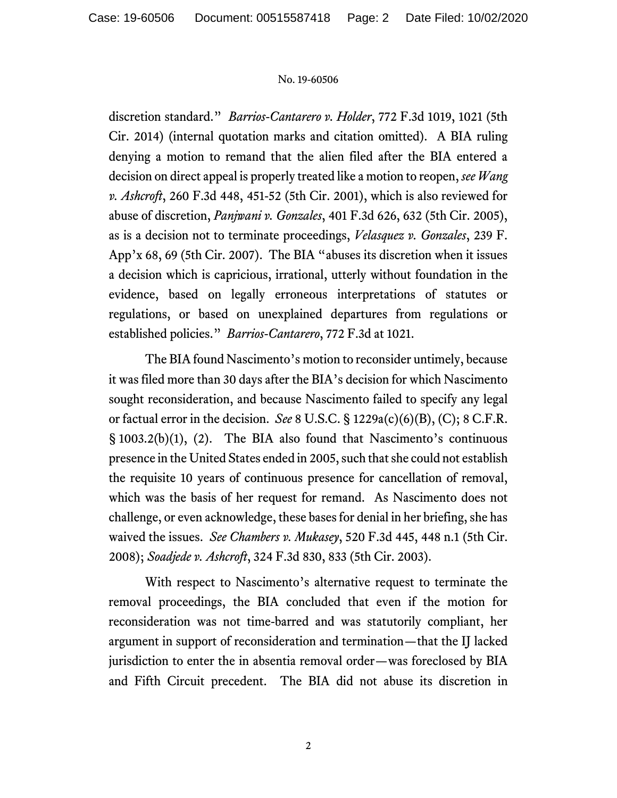## No. 19-60506

discretion standard." *Barrios-Cantarero v. Holder*, 772 F.3d 1019, 1021 (5th Cir. 2014) (internal quotation marks and citation omitted). A BIA ruling denying a motion to remand that the alien filed after the BIA entered a decision on direct appeal is properly treated like a motion to reopen, *see Wang v. Ashcroft*, 260 F.3d 448, 451-52 (5th Cir. 2001), which is also reviewed for abuse of discretion, *Panjwani v. Gonzales*, 401 F.3d 626, 632 (5th Cir. 2005), as is a decision not to terminate proceedings, *Velasquez v. Gonzales*, 239 F. App'x 68, 69 (5th Cir. 2007). The BIA "abuses its discretion when it issues a decision which is capricious, irrational, utterly without foundation in the evidence, based on legally erroneous interpretations of statutes or regulations, or based on unexplained departures from regulations or established policies." *Barrios-Cantarero*, 772 F.3d at 1021.

The BIA found Nascimento's motion to reconsider untimely, because it was filed more than 30 days after the BIA's decision for which Nascimento sought reconsideration, and because Nascimento failed to specify any legal or factual error in the decision. *See* 8 U.S.C. § 1229a(c)(6)(B), (C); 8 C.F.R. § 1003.2(b)(1), (2). The BIA also found that Nascimento's continuous presence in the United States ended in 2005, such that she could not establish the requisite 10 years of continuous presence for cancellation of removal, which was the basis of her request for remand. As Nascimento does not challenge, or even acknowledge, these bases for denial in her briefing, she has waived the issues. *See Chambers v. Mukasey*, 520 F.3d 445, 448 n.1 (5th Cir. 2008); *Soadjede v. Ashcroft*, 324 F.3d 830, 833 (5th Cir. 2003).

With respect to Nascimento's alternative request to terminate the removal proceedings, the BIA concluded that even if the motion for reconsideration was not time-barred and was statutorily compliant, her argument in support of reconsideration and termination—that the IJ lacked jurisdiction to enter the in absentia removal order—was foreclosed by BIA and Fifth Circuit precedent. The BIA did not abuse its discretion in